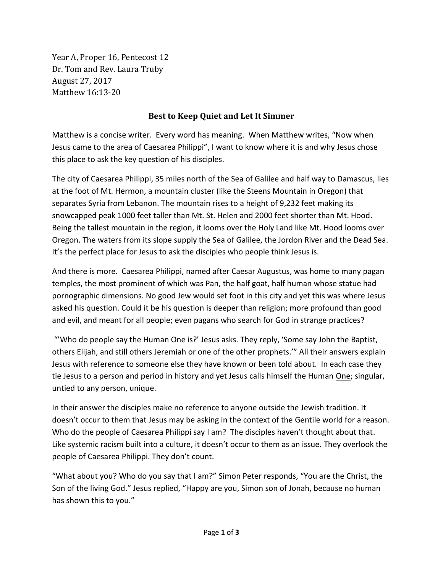Year A, Proper 16, Pentecost 12 Dr. Tom and Rev. Laura Truby August 27, 2017 Matthew 16:13-20

## **Best to Keep Quiet and Let It Simmer**

Matthew is a concise writer. Every word has meaning. When Matthew writes, "Now when Jesus came to the area of Caesarea Philippi", I want to know where it is and why Jesus chose this place to ask the key question of his disciples.

The city of Caesarea Philippi, 35 miles north of the Sea of Galilee and half way to Damascus, lies at the foot of Mt. Hermon, a mountain cluster (like the Steens Mountain in Oregon) that separates Syria from Lebanon. The mountain rises to a height of 9,232 feet making its snowcapped peak 1000 feet taller than Mt. St. Helen and 2000 feet shorter than Mt. Hood. Being the tallest mountain in the region, it looms over the Holy Land like Mt. Hood looms over Oregon. The waters from its slope supply the Sea of Galilee, the Jordon River and the Dead Sea. It's the perfect place for Jesus to ask the disciples who people think Jesus is.

And there is more. Caesarea Philippi, named after Caesar Augustus, was home to many pagan temples, the most prominent of which was Pan, the half goat, half human whose statue had pornographic dimensions. No good Jew would set foot in this city and yet this was where Jesus asked his question. Could it be his question is deeper than religion; more profound than good and evil, and meant for all people; even pagans who search for God in strange practices?

"'Who do people say the Human One is?' Jesus asks. They reply, 'Some say John the Baptist, others Elijah, and still others Jeremiah or one of the other prophets.'" All their answers explain Jesus with reference to someone else they have known or been told about. In each case they tie Jesus to a person and period in history and yet Jesus calls himself the Human One; singular, untied to any person, unique.

In their answer the disciples make no reference to anyone outside the Jewish tradition. It doesn't occur to them that Jesus may be asking in the context of the Gentile world for a reason. Who do the people of Caesarea Philippi say I am? The disciples haven't thought about that. Like systemic racism built into a culture, it doesn't occur to them as an issue. They overlook the people of Caesarea Philippi. They don't count.

"What about you? Who do you say that I am?" Simon Peter responds, "You are the Christ, the Son of the living God." Jesus replied, "Happy are you, Simon son of Jonah, because no human has shown this to you."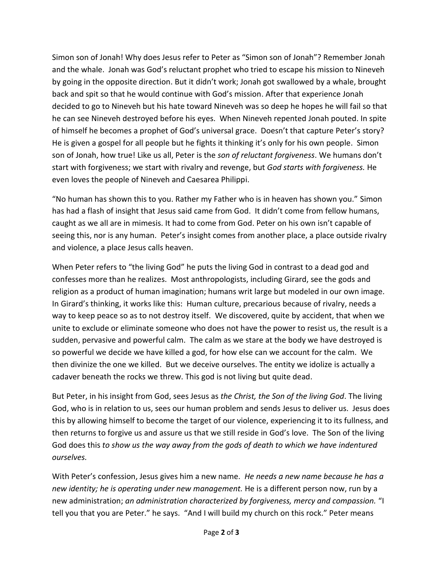Simon son of Jonah! Why does Jesus refer to Peter as "Simon son of Jonah"? Remember Jonah and the whale. Jonah was God's reluctant prophet who tried to escape his mission to Nineveh by going in the opposite direction. But it didn't work; Jonah got swallowed by a whale, brought back and spit so that he would continue with God's mission. After that experience Jonah decided to go to Nineveh but his hate toward Nineveh was so deep he hopes he will fail so that he can see Nineveh destroyed before his eyes. When Nineveh repented Jonah pouted. In spite of himself he becomes a prophet of God's universal grace. Doesn't that capture Peter's story? He is given a gospel for all people but he fights it thinking it's only for his own people. Simon son of Jonah, how true! Like us all, Peter is the *son of reluctant forgiveness*. We humans don't start with forgiveness; we start with rivalry and revenge, but *God starts with forgiveness.* He even loves the people of Nineveh and Caesarea Philippi.

"No human has shown this to you. Rather my Father who is in heaven has shown you." Simon has had a flash of insight that Jesus said came from God. It didn't come from fellow humans, caught as we all are in mimesis. It had to come from God. Peter on his own isn't capable of seeing this, nor is any human. Peter's insight comes from another place, a place outside rivalry and violence, a place Jesus calls heaven.

When Peter refers to "the living God" he puts the living God in contrast to a dead god and confesses more than he realizes. Most anthropologists, including Girard, see the gods and religion as a product of human imagination; humans writ large but modeled in our own image. In Girard's thinking, it works like this: Human culture, precarious because of rivalry, needs a way to keep peace so as to not destroy itself. We discovered, quite by accident, that when we unite to exclude or eliminate someone who does not have the power to resist us, the result is a sudden, pervasive and powerful calm. The calm as we stare at the body we have destroyed is so powerful we decide we have killed a god, for how else can we account for the calm. We then divinize the one we killed. But we deceive ourselves. The entity we idolize is actually a cadaver beneath the rocks we threw. This god is not living but quite dead.

But Peter, in his insight from God, sees Jesus as *the Christ, the Son of the living God*. The living God, who is in relation to us, sees our human problem and sends Jesus to deliver us. Jesus does this by allowing himself to become the target of our violence, experiencing it to its fullness, and then returns to forgive us and assure us that we still reside in God's love. The Son of the living God does this *to show us the way away from the gods of death to which we have indentured ourselves.*

With Peter's confession, Jesus gives him a new name. *He needs a new name because he has a new identity; he is operating under new management.* He is a different person now, run by a new administration; *an administration characterized by forgiveness, mercy and compassion.* "I tell you that you are Peter." he says. "And I will build my church on this rock." Peter means